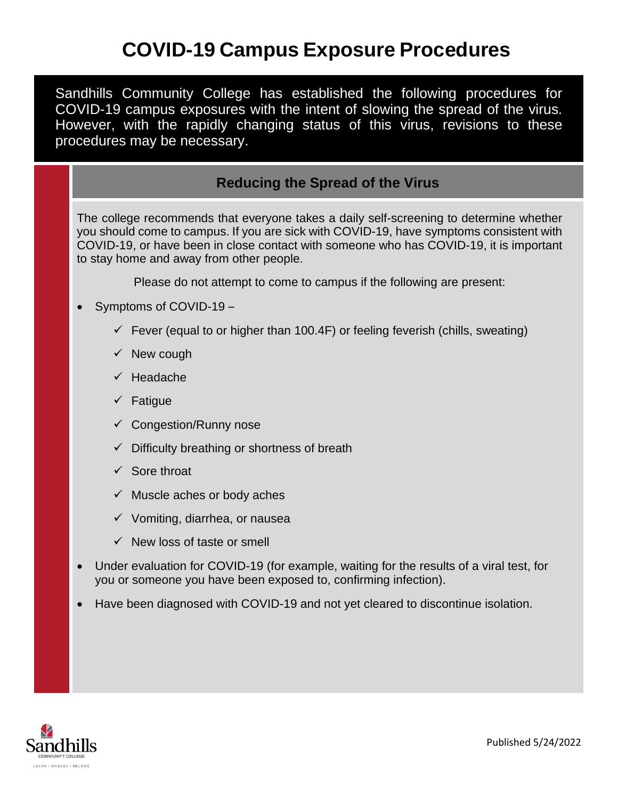# **COVID-19 Campus Exposure Procedures**

Sandhills Community College has established the following procedures for COVID-19 campus exposures with the intent of slowing the spread of the virus. However, with the rapidly changing status of this virus, revisions to these procedures may be necessary.

### **Reducing the Spread of the Virus**

The college recommends that everyone takes a daily self-screening to determine whether you should come to campus. If you are sick with COVID-19, have [symptoms consistent with](https://www.cdc.gov/coronavirus/2019-ncov/symptoms-testing/symptoms.html)  [COVID-19,](https://www.cdc.gov/coronavirus/2019-ncov/symptoms-testing/symptoms.html) or have been in close contact with someone who has COVID-19, it is important to stay home and away from other people.

Please do not attempt to come to campus if the following are present:

- Symptoms of COVID-19
	- $\checkmark$  Fever (equal to or higher than 100.4F) or feeling feverish (chills, sweating)
	- $\checkmark$  New cough
	- $\checkmark$  Headache
	- $\checkmark$  Fatigue
	- $\checkmark$  Congestion/Runny nose
	- $\checkmark$  Difficulty breathing or shortness of breath
	- $\checkmark$  Sore throat
	- $\checkmark$  Muscle aches or body aches
	- $\checkmark$  Vomiting, diarrhea, or nausea
	- $\checkmark$  New loss of taste or smell
- Under evaluation for COVID-19 (for example, waiting for the results of a viral test, for you or someone you have been exposed to, confirming infection).
- Have been diagnosed with COVID-19 and not yet cleared to discontinue isolation.

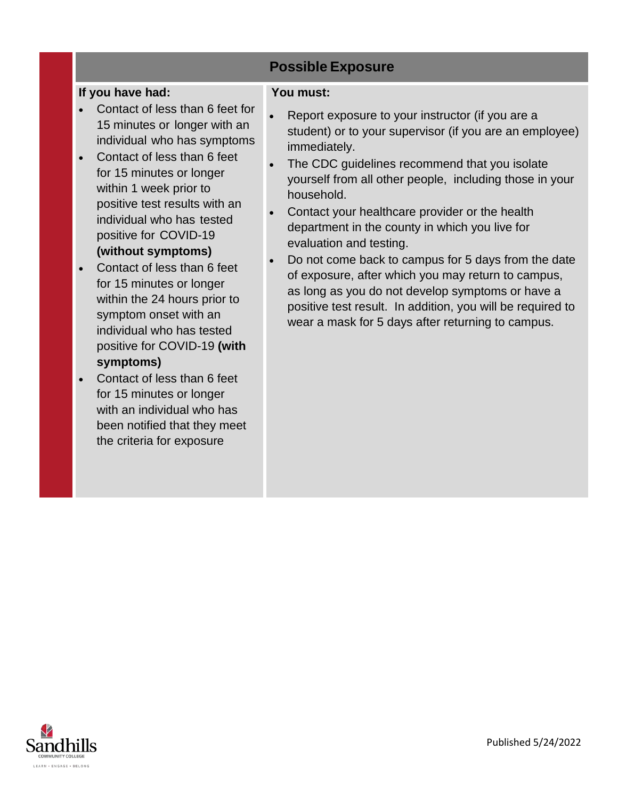## **Possible Exposure**

#### **If you have had:**

- Contact of less than 6 feet for 15 minutes or longer with an individual who has symptoms
- Contact of less than 6 feet for 15 minutes or longer within 1 week prior to positive test results with an individual who has tested positive for COVID-19 **(without symptoms)**
- Contact of less than 6 feet for 15 minutes or longer within the 24 hours prior to symptom onset with an individual who has tested positive for COVID-19 **(with symptoms)**
- Contact of less than 6 feet for 15 minutes or longer with an individual who has been notified that they meet the criteria for exposure

#### **You must:**

- Report exposure to your instructor (if you are a student) or to your supervisor (if you are an employee) immediately.
- The CDC quidelines recommend that you isolate yourself from all other people, including those in your household.
- Contact your healthcare provider or the health department in the county in which you live for evaluation and testing.
- Do not come back to campus for 5 days from the date of exposure, after which you may return to campus, as long as you do not develop symptoms or have a positive test result. In addition, you will be required to wear a mask for 5 days after returning to campus.

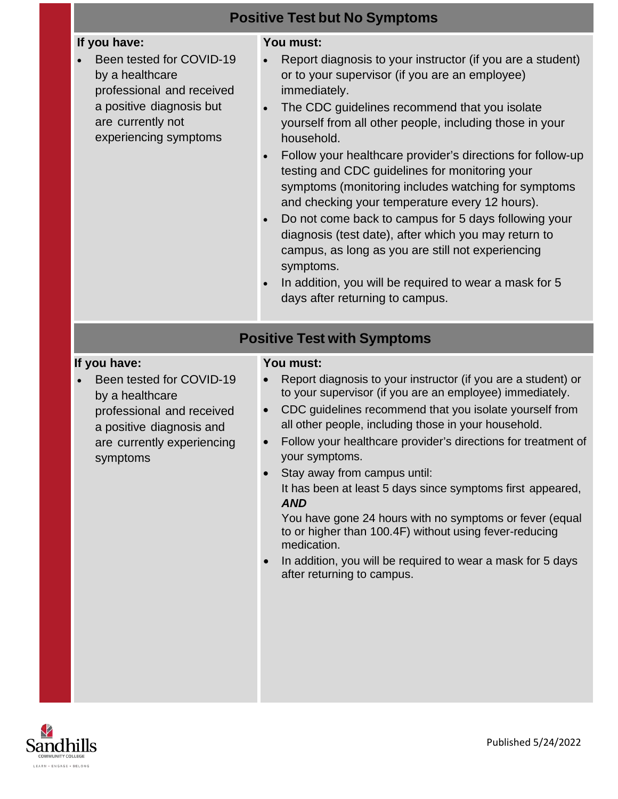| <b>Positive Test but No Symptoms</b>                                                                                                                               |                                                                                                                                                                                                                                                                                                                                                                                                                                                                                                                                                                                                                                                                                                                                                                                          |
|--------------------------------------------------------------------------------------------------------------------------------------------------------------------|------------------------------------------------------------------------------------------------------------------------------------------------------------------------------------------------------------------------------------------------------------------------------------------------------------------------------------------------------------------------------------------------------------------------------------------------------------------------------------------------------------------------------------------------------------------------------------------------------------------------------------------------------------------------------------------------------------------------------------------------------------------------------------------|
| If you have:<br>Been tested for COVID-19<br>by a healthcare<br>professional and received<br>a positive diagnosis but<br>are currently not<br>experiencing symptoms | You must:<br>Report diagnosis to your instructor (if you are a student)<br>or to your supervisor (if you are an employee)<br>immediately.<br>The CDC guidelines recommend that you isolate<br>yourself from all other people, including those in your<br>household.<br>Follow your healthcare provider's directions for follow-up<br>testing and CDC guidelines for monitoring your<br>symptoms (monitoring includes watching for symptoms<br>and checking your temperature every 12 hours).<br>Do not come back to campus for 5 days following your<br>$\bullet$<br>diagnosis (test date), after which you may return to<br>campus, as long as you are still not experiencing<br>symptoms.<br>In addition, you will be required to wear a mask for 5<br>days after returning to campus. |
| <b>Positive Test with Symptoms</b>                                                                                                                                 |                                                                                                                                                                                                                                                                                                                                                                                                                                                                                                                                                                                                                                                                                                                                                                                          |
| If you have:<br>Been tested for COVID-19<br>by a healthcare<br>professional and received<br>a positive diagnosis and<br>are currently experiencing<br>symptoms     | You must:<br>Report diagnosis to your instructor (if you are a student) or<br>to your supervisor (if you are an employee) immediately.<br>CDC guidelines recommend that you isolate yourself from<br>$\bullet$<br>all other people, including those in your household.<br>Follow your healthcare provider's directions for treatment of<br>your symptoms.<br>Stay away from campus until:<br>It has been at least 5 days since symptoms first appeared,<br><b>AND</b><br>You have gone 24 hours with no symptoms or fever (equal<br>to or higher than 100.4F) without using fever-reducing<br>medication.<br>In addition, you will be required to wear a mask for 5 days<br>after returning to campus.                                                                                   |